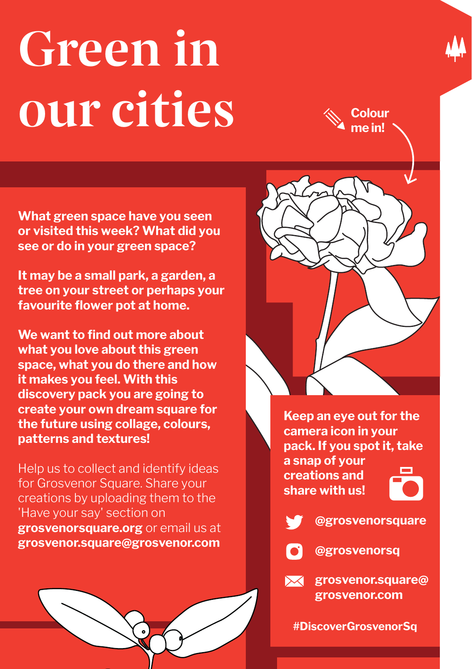# Green in our cities

**What green space have you seen or visited this week? What did you see or do in your green space?**

**It may be a small park, a garden, a tree on your street or perhaps your favourite flower pot at home.** 

**We want to find out more about what you love about this green space, what you do there and how it makes you feel. With this discovery pack you are going to create your own dream square for the future using collage, colours, patterns and textures!** 

Help us to collect and identify ideas for Grosvenor Square. Share your creations by uploading them to the 'Have your say' section on **grosvenorsquare.org** or email us at **grosvenor.square@grosvenor.com**



**Colour me in!**

**Keep an eye out for the camera icon in your pack. If you spot it, take a snap of your creations and share with us!**







**#DiscoverGrosvenorSq**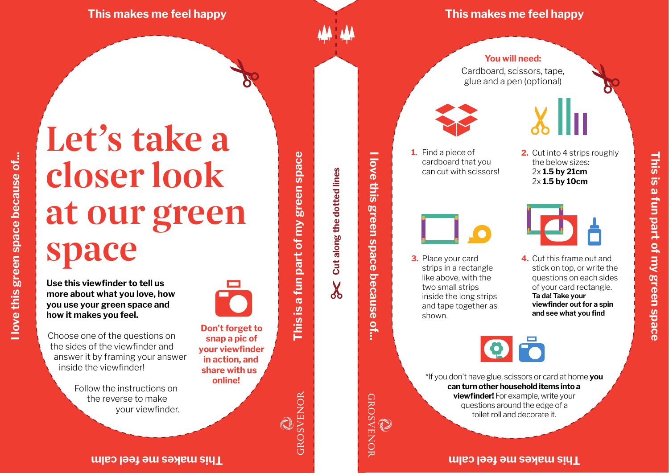#### **This makes me feel happy**

## Let's take a closer look at our green space

**Use this viewfinder to tell us more about what you love, how you use your green space and how it makes you feel.** 

**I love this green space because of...**

llove this green space because of...

Choose one of the questions on the sides of the viewfinder and answer it by framing your answer inside the viewfinder!

> Follow the instructions on the reverse to make your viewfinder.



**share with us online!**

**Don't forget to snap a pic of your viewfinder in action, and** 

#### **This makes me feel calm**

ሐ

**Cut along the dotted lines**

 $\checkmark$ 

Cut along the dotted lines

**This is a fun part of my green space**

This is:

GROSVENOR

a fun part of my green space

**I love this green space because of...**

I love this green space because of...

**This makes me feel happy**

#### Cardboard, scissors, tape, glue and a pen (optional) **You will need:**



- **1.** Find a piece of cardboard that you can cut with scissors!
- **2.** Cut into 4 strips roughly the below sizes: 2x **1.5 by 21cm** 2x **1.5 by 10cm**



3. Place your card strips in a rectangle like above, with the two small strips inside the long strips and tape together as shown.

**3.** Place your card **4.** Cut this frame out and stick on top, or write the questions on each sides of your card rectangle. **Ta da! Take your viewfinder out for a spin and see what you find**



\*If you don't have glue, scissors or card at home **you can turn other household items into a viewfinder!** For example, write your questions around the edge of a toilet roll and decorate it.

**This makes me feel calm**

**GROSVENOR**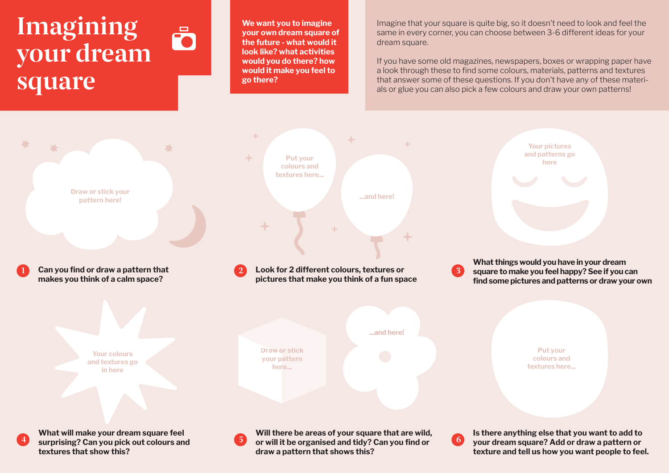### Imagining  $\vec{\bf{O}}$ your dream square

**We want you to imagine your own dream square of the future - what would it look like? what activities would you do there? how would it make you feel to go there?** 

Imagine that your square is quite big, so it doesn't need to look and feel the same in every corner, you can choose between 3-6 different ideas for your dream square.

If you have some old magazines, newspapers, boxes or wrapping paper have a look through these to find some colours, materials, patterns and textures that answer some of these questions. If you don't have any of these materials or glue you can also pick a few colours and draw your own patterns!